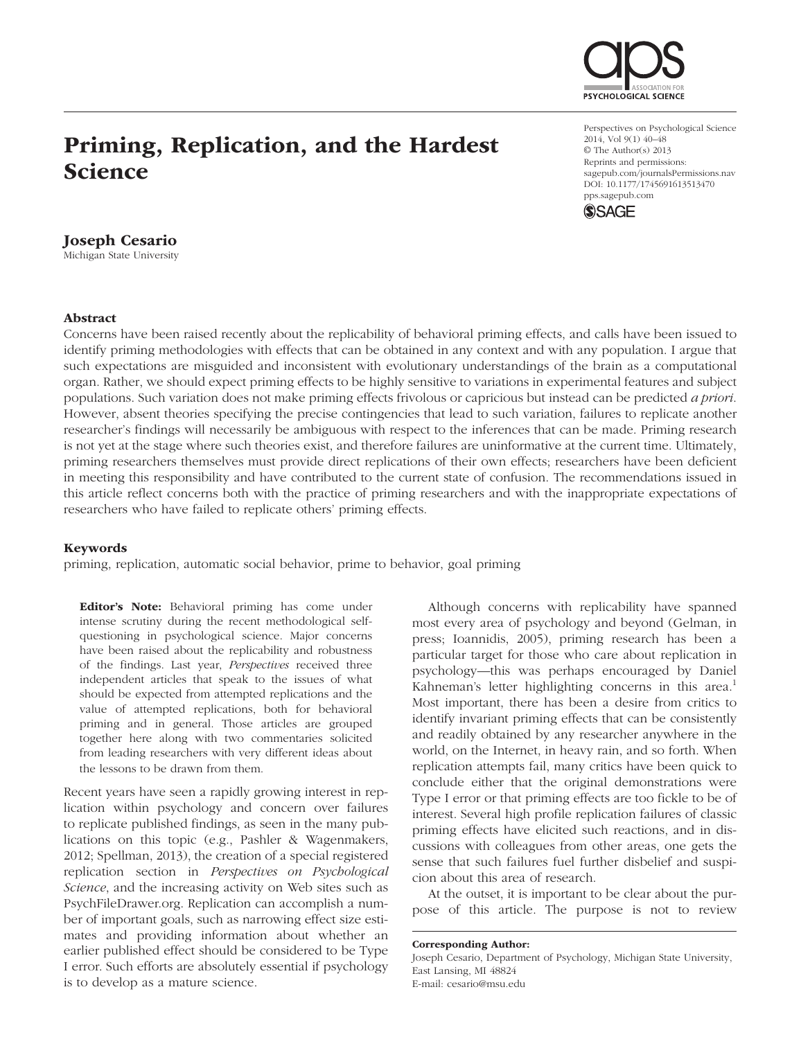# Priming, Replication, and the Hardest Science

# Joseph Cesario

Michigan State University

## Abstract

Concerns have been raised recently about the replicability of behavioral priming effects, and calls have been issued to identify priming methodologies with effects that can be obtained in any context and with any population. I argue that such expectations are misguided and inconsistent with evolutionary understandings of the brain as a computational organ. Rather, we should expect priming effects to be highly sensitive to variations in experimental features and subject populations. Such variation does not make priming effects frivolous or capricious but instead can be predicted *a priori*. However, absent theories specifying the precise contingencies that lead to such variation, failures to replicate another researcher's findings will necessarily be ambiguous with respect to the inferences that can be made. Priming research is not yet at the stage where such theories exist, and therefore failures are uninformative at the current time. Ultimately, priming researchers themselves must provide direct replications of their own effects; researchers have been deficient in meeting this responsibility and have contributed to the current state of confusion. The recommendations issued in this article reflect concerns both with the practice of priming researchers and with the inappropriate expectations of researchers who have failed to replicate others' priming effects.

## Keywords

priming, replication, automatic social behavior, prime to behavior, goal priming

Editor's Note: Behavioral priming has come under intense scrutiny during the recent methodological selfquestioning in psychological science. Major concerns have been raised about the replicability and robustness of the findings. Last year, *Perspectives* received three independent articles that speak to the issues of what should be expected from attempted replications and the value of attempted replications, both for behavioral priming and in general. Those articles are grouped together here along with two commentaries solicited from leading researchers with very different ideas about the lessons to be drawn from them.

Recent years have seen a rapidly growing interest in replication within psychology and concern over failures to replicate published findings, as seen in the many publications on this topic (e.g., Pashler & Wagenmakers, 2012; Spellman, 2013), the creation of a special registered replication section in *Perspectives on Psychological Science*, and the increasing activity on web sites such as PsychFileDrawer.org. Replication can accomplish a number of important goals, such as narrowing effect size estimates and providing information about whether an earlier published effect should be considered to be Type I error. Such efforts are absolutely essential if psychology is to develop as a mature science.

Although concerns with replicability have spanned most every area of psychology and beyond (Gelman, in press; Ioannidis, 2005), priming research has been a particular target for those who care about replication in psychology—this was perhaps encouraged by Daniel Kahneman's letter highlighting concerns in this area.<sup>1</sup> Most important, there has been a desire from critics to identify invariant priming effects that can be consistently and readily obtained by any researcher anywhere in the world, on the Internet, in heavy rain, and so forth. When replication attempts fail, many critics have been quick to conclude either that the original demonstrations were Type I error or that priming effects are too fickle to be of interest. Several high profile replication failures of classic priming effects have elicited such reactions, and in discussions with colleagues from other areas, one gets the sense that such failures fuel further disbelief and suspicion about this area of research.

At the outset, it is important to be clear about the purpose of this article. The purpose is not to review



Perspectives on Psychological Science 2014, Vol 9(1) 40–48 © The Author(s) 2013 Reprints and permissions: sagepub.com/journalsPermissions.nav DOI: 10.1177/1745691613513470 pps.sagepub.com



Corresponding Author:

Joseph Cesario, Department of Psychology, Michigan State University, East Lansing, MI 48824 E-mail: cesario@msu.edu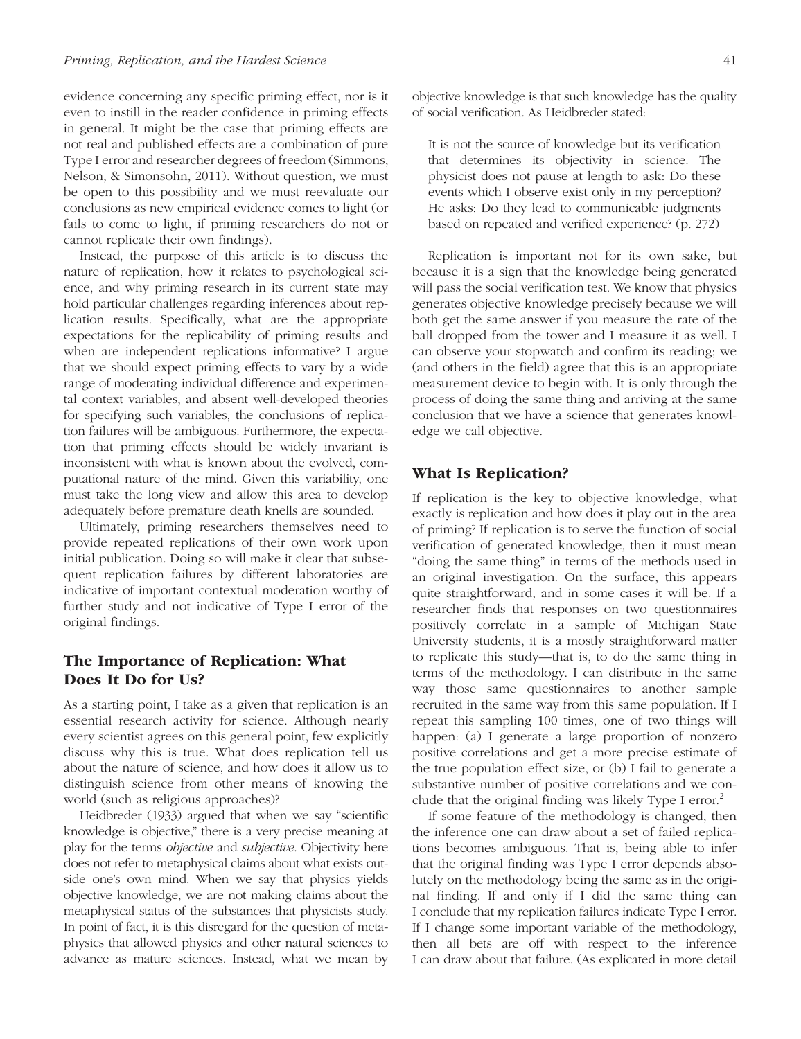evidence concerning any specific priming effect, nor is it even to instill in the reader confidence in priming effects in general. It might be the case that priming effects are not real and published effects are a combination of pure Type I error and researcher degrees of freedom (Simmons, Nelson, & Simonsohn, 2011). Without question, we must be open to this possibility and we must reevaluate our conclusions as new empirical evidence comes to light (or fails to come to light, if priming researchers do not or cannot replicate their own findings).

Instead, the purpose of this article is to discuss the nature of replication, how it relates to psychological science, and why priming research in its current state may hold particular challenges regarding inferences about replication results. Specifically, what are the appropriate expectations for the replicability of priming results and when are independent replications informative? I argue that we should expect priming effects to vary by a wide range of moderating individual difference and experimental context variables, and absent well-developed theories for specifying such variables, the conclusions of replication failures will be ambiguous. Furthermore, the expectation that priming effects should be widely invariant is inconsistent with what is known about the evolved, computational nature of the mind. Given this variability, one must take the long view and allow this area to develop adequately before premature death knells are sounded.

Ultimately, priming researchers themselves need to provide repeated replications of their own work upon initial publication. Doing so will make it clear that subsequent replication failures by different laboratories are indicative of important contextual moderation worthy of further study and not indicative of Type I error of the original findings.

# The Importance of Replication: What Does It Do for Us?

As a starting point, I take as a given that replication is an essential research activity for science. Although nearly every scientist agrees on this general point, few explicitly discuss why this is true. What does replication tell us about the nature of science, and how does it allow us to distinguish science from other means of knowing the world (such as religious approaches)?

Heidbreder (1933) argued that when we say "scientific knowledge is objective," there is a very precise meaning at play for the terms *objective* and *subjective*. Objectivity here does not refer to metaphysical claims about what exists outside one's own mind. When we say that physics yields objective knowledge, we are not making claims about the metaphysical status of the substances that physicists study. In point of fact, it is this disregard for the question of metaphysics that allowed physics and other natural sciences to advance as mature sciences. Instead, what we mean by objective knowledge is that such knowledge has the quality of social verification. As Heidbreder stated:

It is not the source of knowledge but its verification that determines its objectivity in science. The physicist does not pause at length to ask: Do these events which I observe exist only in my perception? He asks: Do they lead to communicable judgments based on repeated and verified experience? (p. 272)

Replication is important not for its own sake, but because it is a sign that the knowledge being generated will pass the social verification test. We know that physics generates objective knowledge precisely because we will both get the same answer if you measure the rate of the ball dropped from the tower and I measure it as well. I can observe your stopwatch and confirm its reading; we (and others in the field) agree that this is an appropriate measurement device to begin with. It is only through the process of doing the same thing and arriving at the same conclusion that we have a science that generates knowledge we call objective.

## What Is Replication?

If replication is the key to objective knowledge, what exactly is replication and how does it play out in the area of priming? If replication is to serve the function of social verification of generated knowledge, then it must mean "doing the same thing" in terms of the methods used in an original investigation. On the surface, this appears quite straightforward, and in some cases it will be. If a researcher finds that responses on two questionnaires positively correlate in a sample of Michigan State University students, it is a mostly straightforward matter to replicate this study—that is, to do the same thing in terms of the methodology. I can distribute in the same way those same questionnaires to another sample recruited in the same way from this same population. If I repeat this sampling 100 times, one of two things will happen: (a) I generate a large proportion of nonzero positive correlations and get a more precise estimate of the true population effect size, or (b) I fail to generate a substantive number of positive correlations and we conclude that the original finding was likely Type I error.<sup>2</sup>

If some feature of the methodology is changed, then the inference one can draw about a set of failed replications becomes ambiguous. That is, being able to infer that the original finding was Type I error depends absolutely on the methodology being the same as in the original finding. If and only if I did the same thing can I conclude that my replication failures indicate Type I error. If I change some important variable of the methodology, then all bets are off with respect to the inference I can draw about that failure. (As explicated in more detail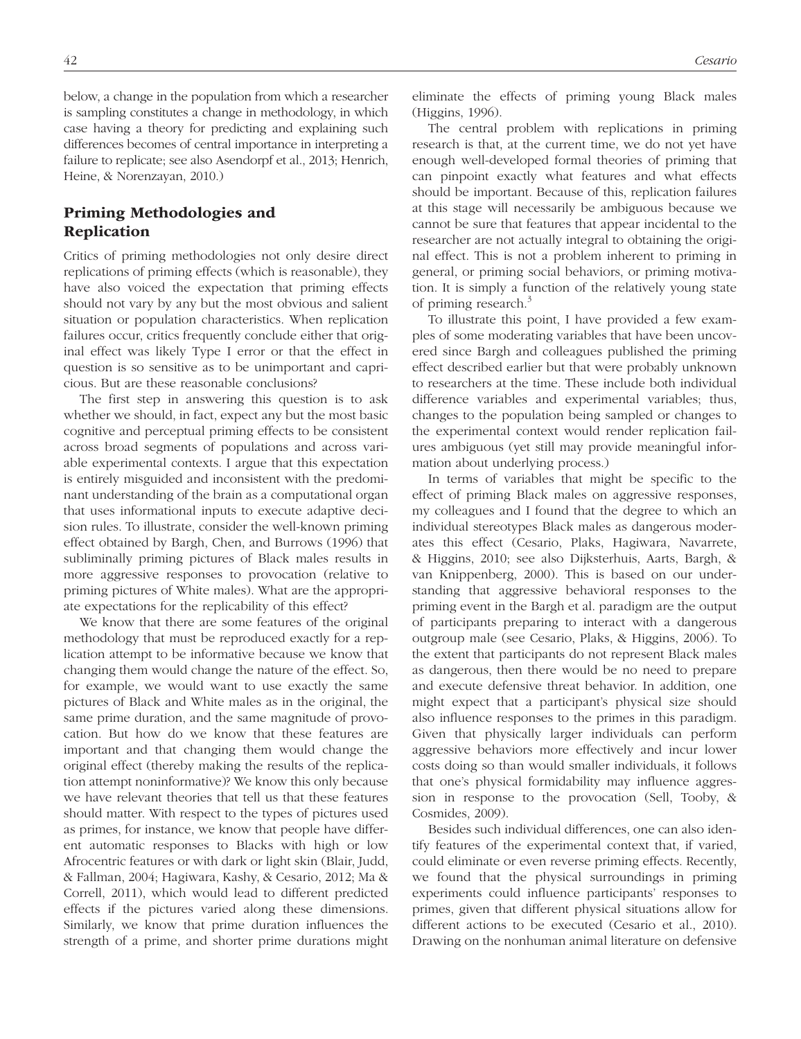below, a change in the population from which a researcher is sampling constitutes a change in methodology, in which case having a theory for predicting and explaining such differences becomes of central importance in interpreting a failure to replicate; see also Asendorpf et al., 2013; Henrich, Heine, & Norenzayan, 2010.)

# Priming Methodologies and Replication

Critics of priming methodologies not only desire direct replications of priming effects (which is reasonable), they have also voiced the expectation that priming effects should not vary by any but the most obvious and salient situation or population characteristics. When replication failures occur, critics frequently conclude either that original effect was likely Type I error or that the effect in question is so sensitive as to be unimportant and capricious. But are these reasonable conclusions?

The first step in answering this question is to ask whether we should, in fact, expect any but the most basic cognitive and perceptual priming effects to be consistent across broad segments of populations and across variable experimental contexts. I argue that this expectation is entirely misguided and inconsistent with the predominant understanding of the brain as a computational organ that uses informational inputs to execute adaptive decision rules. To illustrate, consider the well-known priming effect obtained by Bargh, Chen, and Burrows (1996) that subliminally priming pictures of Black males results in more aggressive responses to provocation (relative to priming pictures of White males). What are the appropriate expectations for the replicability of this effect?

We know that there are some features of the original methodology that must be reproduced exactly for a replication attempt to be informative because we know that changing them would change the nature of the effect. So, for example, we would want to use exactly the same pictures of Black and White males as in the original, the same prime duration, and the same magnitude of provocation. But how do we know that these features are important and that changing them would change the original effect (thereby making the results of the replication attempt noninformative)? We know this only because we have relevant theories that tell us that these features should matter. With respect to the types of pictures used as primes, for instance, we know that people have different automatic responses to Blacks with high or low Afrocentric features or with dark or light skin (Blair, Judd, & Fallman, 2004; Hagiwara, Kashy, & Cesario, 2012; Ma & Correll, 2011), which would lead to different predicted effects if the pictures varied along these dimensions. Similarly, we know that prime duration influences the strength of a prime, and shorter prime durations might eliminate the effects of priming young Black males (Higgins, 1996).

The central problem with replications in priming research is that, at the current time, we do not yet have enough well-developed formal theories of priming that can pinpoint exactly what features and what effects should be important. Because of this, replication failures at this stage will necessarily be ambiguous because we cannot be sure that features that appear incidental to the researcher are not actually integral to obtaining the original effect. This is not a problem inherent to priming in general, or priming social behaviors, or priming motivation. It is simply a function of the relatively young state of priming research.<sup>3</sup>

To illustrate this point, I have provided a few examples of some moderating variables that have been uncovered since Bargh and colleagues published the priming effect described earlier but that were probably unknown to researchers at the time. These include both individual difference variables and experimental variables; thus, changes to the population being sampled or changes to the experimental context would render replication failures ambiguous (yet still may provide meaningful information about underlying process.)

In terms of variables that might be specific to the effect of priming Black males on aggressive responses, my colleagues and I found that the degree to which an individual stereotypes Black males as dangerous moderates this effect (Cesario, Plaks, Hagiwara, Navarrete, & Higgins, 2010; see also Dijksterhuis, Aarts, Bargh, & van Knippenberg, 2000). This is based on our understanding that aggressive behavioral responses to the priming event in the Bargh et al. paradigm are the output of participants preparing to interact with a dangerous outgroup male (see Cesario, Plaks, & Higgins, 2006). To the extent that participants do not represent Black males as dangerous, then there would be no need to prepare and execute defensive threat behavior. In addition, one might expect that a participant's physical size should also influence responses to the primes in this paradigm. Given that physically larger individuals can perform aggressive behaviors more effectively and incur lower costs doing so than would smaller individuals, it follows that one's physical formidability may influence aggression in response to the provocation (Sell, Tooby, & Cosmides, 2009).

Besides such individual differences, one can also identify features of the experimental context that, if varied, could eliminate or even reverse priming effects. Recently, we found that the physical surroundings in priming experiments could influence participants' responses to primes, given that different physical situations allow for different actions to be executed (Cesario et al., 2010). Drawing on the nonhuman animal literature on defensive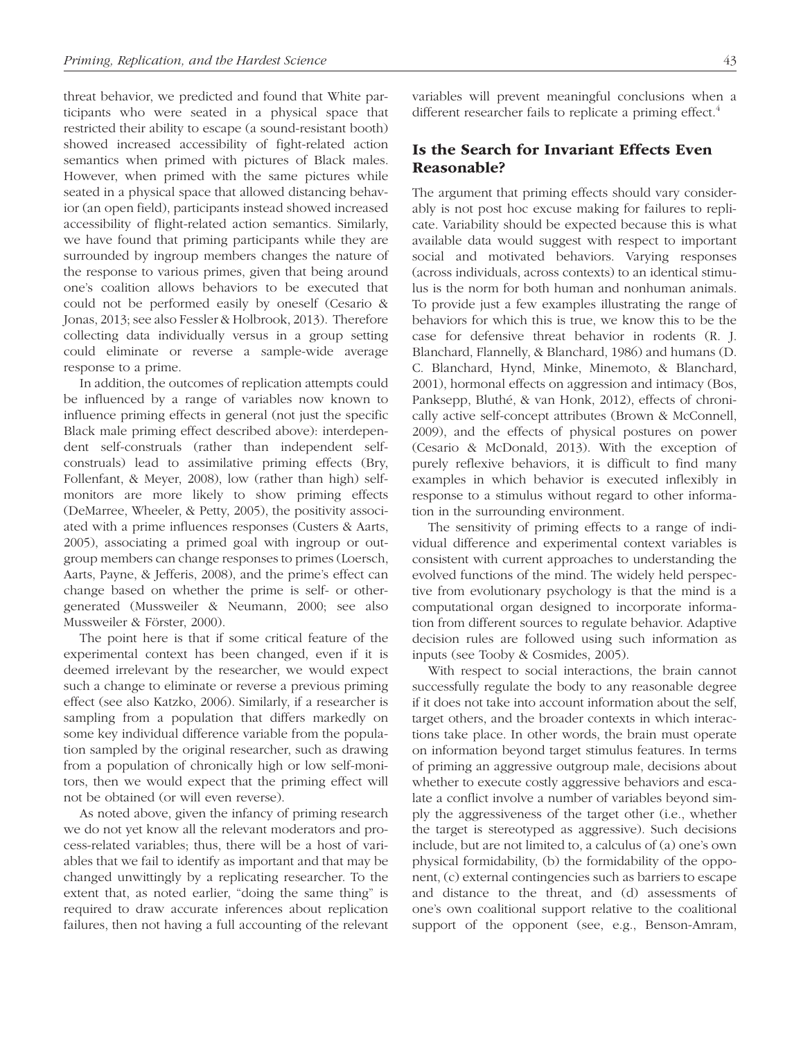threat behavior, we predicted and found that White participants who were seated in a physical space that restricted their ability to escape (a sound-resistant booth) showed increased accessibility of fight-related action semantics when primed with pictures of Black males. However, when primed with the same pictures while seated in a physical space that allowed distancing behavior (an open field), participants instead showed increased accessibility of flight-related action semantics. Similarly, we have found that priming participants while they are surrounded by ingroup members changes the nature of the response to various primes, given that being around one's coalition allows behaviors to be executed that could not be performed easily by oneself (Cesario & Jonas, 2013; see also Fessler & Holbrook, 2013). Therefore collecting data individually versus in a group setting could eliminate or reverse a sample-wide average response to a prime.

In addition, the outcomes of replication attempts could be influenced by a range of variables now known to influence priming effects in general (not just the specific Black male priming effect described above): interdependent self-construals (rather than independent selfconstruals) lead to assimilative priming effects (Bry, Follenfant, & Meyer, 2008), low (rather than high) selfmonitors are more likely to show priming effects (DeMarree, Wheeler, & Petty, 2005), the positivity associated with a prime influences responses (Custers & Aarts, 2005), associating a primed goal with ingroup or outgroup members can change responses to primes (Loersch, Aarts, Payne, & Jefferis, 2008), and the prime's effect can change based on whether the prime is self- or othergenerated (Mussweiler & Neumann, 2000; see also Mussweiler & Förster, 2000).

The point here is that if some critical feature of the experimental context has been changed, even if it is deemed irrelevant by the researcher, we would expect such a change to eliminate or reverse a previous priming effect (see also Katzko, 2006). Similarly, if a researcher is sampling from a population that differs markedly on some key individual difference variable from the population sampled by the original researcher, such as drawing from a population of chronically high or low self-monitors, then we would expect that the priming effect will not be obtained (or will even reverse).

As noted above, given the infancy of priming research we do not yet know all the relevant moderators and process-related variables; thus, there will be a host of variables that we fail to identify as important and that may be changed unwittingly by a replicating researcher. To the extent that, as noted earlier, "doing the same thing" is required to draw accurate inferences about replication failures, then not having a full accounting of the relevant variables will prevent meaningful conclusions when a different researcher fails to replicate a priming effect.<sup>4</sup>

# Is the Search for Invariant Effects Even Reasonable?

The argument that priming effects should vary considerably is not post hoc excuse making for failures to replicate. Variability should be expected because this is what available data would suggest with respect to important social and motivated behaviors. Varying responses (across individuals, across contexts) to an identical stimulus is the norm for both human and nonhuman animals. To provide just a few examples illustrating the range of behaviors for which this is true, we know this to be the case for defensive threat behavior in rodents (R. J. Blanchard, Flannelly, & Blanchard, 1986) and humans (D. C. Blanchard, Hynd, Minke, Minemoto, & Blanchard, 2001), hormonal effects on aggression and intimacy (Bos, Panksepp, Bluthé, & van Honk, 2012), effects of chronically active self-concept attributes (Brown & McConnell, 2009), and the effects of physical postures on power (Cesario & McDonald, 2013). With the exception of purely reflexive behaviors, it is difficult to find many examples in which behavior is executed inflexibly in response to a stimulus without regard to other information in the surrounding environment.

The sensitivity of priming effects to a range of individual difference and experimental context variables is consistent with current approaches to understanding the evolved functions of the mind. The widely held perspective from evolutionary psychology is that the mind is a computational organ designed to incorporate information from different sources to regulate behavior. Adaptive decision rules are followed using such information as inputs (see Tooby & Cosmides, 2005).

With respect to social interactions, the brain cannot successfully regulate the body to any reasonable degree if it does not take into account information about the self, target others, and the broader contexts in which interactions take place. In other words, the brain must operate on information beyond target stimulus features. In terms of priming an aggressive outgroup male, decisions about whether to execute costly aggressive behaviors and escalate a conflict involve a number of variables beyond simply the aggressiveness of the target other (i.e., whether the target is stereotyped as aggressive). Such decisions include, but are not limited to, a calculus of (a) one's own physical formidability, (b) the formidability of the opponent, (c) external contingencies such as barriers to escape and distance to the threat, and (d) assessments of one's own coalitional support relative to the coalitional support of the opponent (see, e.g., Benson-Amram,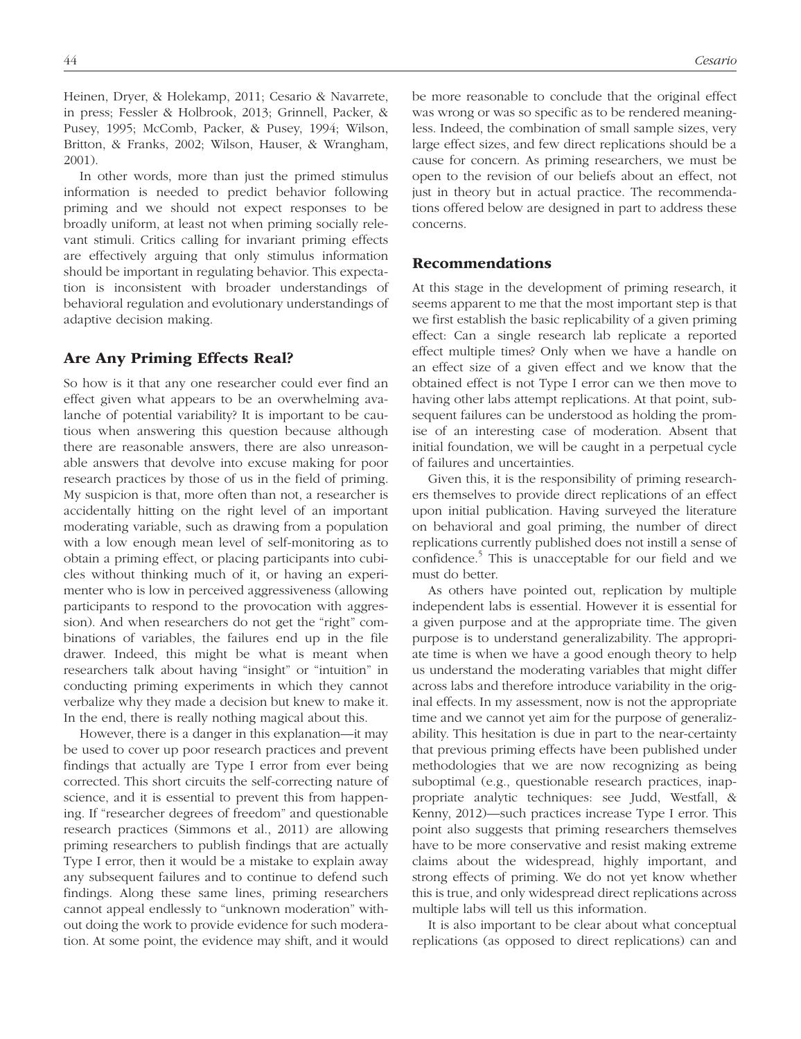Heinen, Dryer, & Holekamp, 2011; Cesario & Navarrete, in press; Fessler & Holbrook, 2013; Grinnell, Packer, & Pusey, 1995; McComb, Packer, & Pusey, 1994; Wilson, Britton, & Franks, 2002; Wilson, Hauser, & Wrangham, 2001).

In other words, more than just the primed stimulus information is needed to predict behavior following priming and we should not expect responses to be broadly uniform, at least not when priming socially relevant stimuli. Critics calling for invariant priming effects are effectively arguing that only stimulus information should be important in regulating behavior. This expectation is inconsistent with broader understandings of behavioral regulation and evolutionary understandings of adaptive decision making.

## Are Any Priming Effects Real?

So how is it that any one researcher could ever find an effect given what appears to be an overwhelming avalanche of potential variability? It is important to be cautious when answering this question because although there are reasonable answers, there are also unreasonable answers that devolve into excuse making for poor research practices by those of us in the field of priming. My suspicion is that, more often than not, a researcher is accidentally hitting on the right level of an important moderating variable, such as drawing from a population with a low enough mean level of self-monitoring as to obtain a priming effect, or placing participants into cubicles without thinking much of it, or having an experimenter who is low in perceived aggressiveness (allowing participants to respond to the provocation with aggression). And when researchers do not get the "right" combinations of variables, the failures end up in the file drawer. Indeed, this might be what is meant when researchers talk about having "insight" or "intuition" in conducting priming experiments in which they cannot verbalize why they made a decision but knew to make it. In the end, there is really nothing magical about this.

However, there is a danger in this explanation—it may be used to cover up poor research practices and prevent findings that actually are Type I error from ever being corrected. This short circuits the self-correcting nature of science, and it is essential to prevent this from happening. If "researcher degrees of freedom" and questionable research practices (Simmons et al., 2011) are allowing priming researchers to publish findings that are actually Type I error, then it would be a mistake to explain away any subsequent failures and to continue to defend such findings. Along these same lines, priming researchers cannot appeal endlessly to "unknown moderation" without doing the work to provide evidence for such moderation. At some point, the evidence may shift, and it would be more reasonable to conclude that the original effect was wrong or was so specific as to be rendered meaningless. Indeed, the combination of small sample sizes, very large effect sizes, and few direct replications should be a cause for concern. As priming researchers, we must be open to the revision of our beliefs about an effect, not just in theory but in actual practice. The recommendations offered below are designed in part to address these concerns.

## Recommendations

At this stage in the development of priming research, it seems apparent to me that the most important step is that we first establish the basic replicability of a given priming effect: Can a single research lab replicate a reported effect multiple times? Only when we have a handle on an effect size of a given effect and we know that the obtained effect is not Type I error can we then move to having other labs attempt replications. At that point, subsequent failures can be understood as holding the promise of an interesting case of moderation. Absent that initial foundation, we will be caught in a perpetual cycle of failures and uncertainties.

Given this, it is the responsibility of priming researchers themselves to provide direct replications of an effect upon initial publication. Having surveyed the literature on behavioral and goal priming, the number of direct replications currently published does not instill a sense of confidence.<sup>5</sup> This is unacceptable for our field and we must do better.

As others have pointed out, replication by multiple independent labs is essential. However it is essential for a given purpose and at the appropriate time. The given purpose is to understand generalizability. The appropriate time is when we have a good enough theory to help us understand the moderating variables that might differ across labs and therefore introduce variability in the original effects. In my assessment, now is not the appropriate time and we cannot yet aim for the purpose of generalizability. This hesitation is due in part to the near-certainty that previous priming effects have been published under methodologies that we are now recognizing as being suboptimal (e.g., questionable research practices, inappropriate analytic techniques: see Judd, Westfall, & Kenny, 2012)—such practices increase Type I error. This point also suggests that priming researchers themselves have to be more conservative and resist making extreme claims about the widespread, highly important, and strong effects of priming. We do not yet know whether this is true, and only widespread direct replications across multiple labs will tell us this information.

It is also important to be clear about what conceptual replications (as opposed to direct replications) can and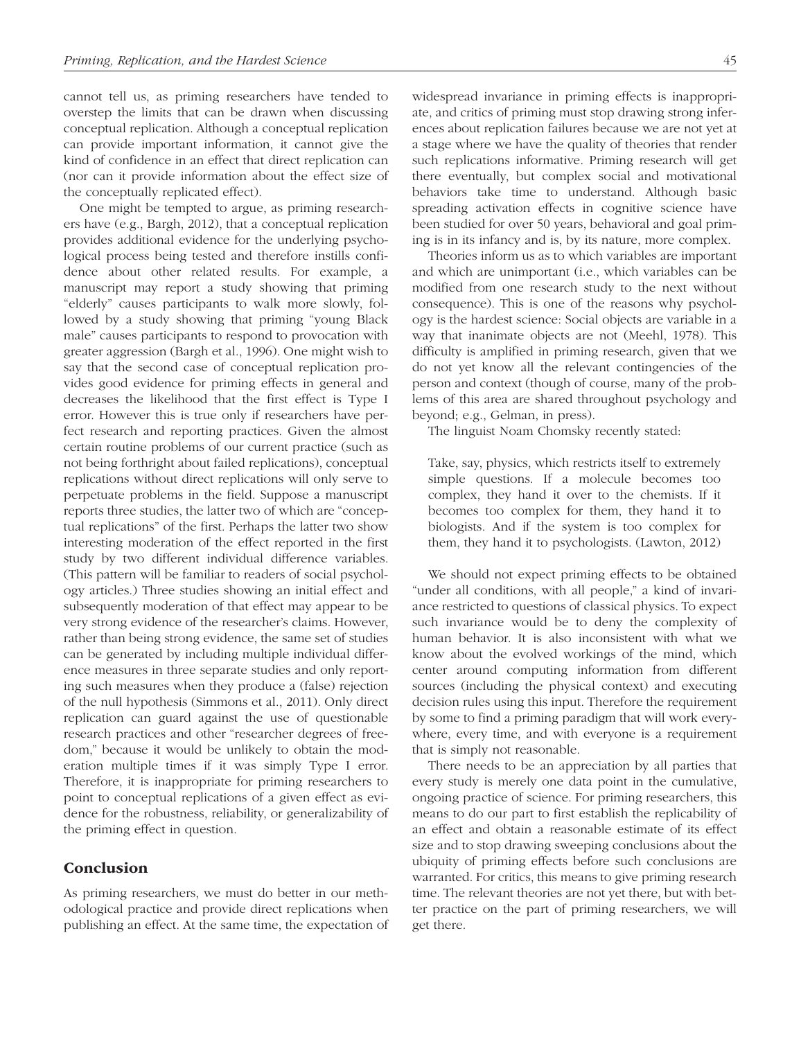cannot tell us, as priming researchers have tended to overstep the limits that can be drawn when discussing conceptual replication. Although a conceptual replication can provide important information, it cannot give the kind of confidence in an effect that direct replication can (nor can it provide information about the effect size of the conceptually replicated effect).

One might be tempted to argue, as priming researchers have (e.g., Bargh, 2012), that a conceptual replication provides additional evidence for the underlying psychological process being tested and therefore instills confidence about other related results. For example, a manuscript may report a study showing that priming "elderly" causes participants to walk more slowly, followed by a study showing that priming "young Black male" causes participants to respond to provocation with greater aggression (Bargh et al., 1996). One might wish to say that the second case of conceptual replication provides good evidence for priming effects in general and decreases the likelihood that the first effect is Type I error. However this is true only if researchers have perfect research and reporting practices. Given the almost certain routine problems of our current practice (such as not being forthright about failed replications), conceptual replications without direct replications will only serve to perpetuate problems in the field. Suppose a manuscript reports three studies, the latter two of which are "conceptual replications" of the first. Perhaps the latter two show interesting moderation of the effect reported in the first study by two different individual difference variables. (This pattern will be familiar to readers of social psychology articles.) Three studies showing an initial effect and subsequently moderation of that effect may appear to be very strong evidence of the researcher's claims. However, rather than being strong evidence, the same set of studies can be generated by including multiple individual difference measures in three separate studies and only reporting such measures when they produce a (false) rejection of the null hypothesis (Simmons et al., 2011). Only direct replication can guard against the use of questionable research practices and other "researcher degrees of freedom," because it would be unlikely to obtain the moderation multiple times if it was simply Type I error. Therefore, it is inappropriate for priming researchers to point to conceptual replications of a given effect as evidence for the robustness, reliability, or generalizability of the priming effect in question.

# Conclusion

As priming researchers, we must do better in our methodological practice and provide direct replications when publishing an effect. At the same time, the expectation of widespread invariance in priming effects is inappropriate, and critics of priming must stop drawing strong inferences about replication failures because we are not yet at a stage where we have the quality of theories that render such replications informative. Priming research will get there eventually, but complex social and motivational behaviors take time to understand. Although basic spreading activation effects in cognitive science have been studied for over 50 years, behavioral and goal priming is in its infancy and is, by its nature, more complex.

Theories inform us as to which variables are important and which are unimportant (i.e., which variables can be modified from one research study to the next without consequence). This is one of the reasons why psychology is the hardest science: social objects are variable in a way that inanimate objects are not (Meehl, 1978). This difficulty is amplified in priming research, given that we do not yet know all the relevant contingencies of the person and context (though of course, many of the problems of this area are shared throughout psychology and beyond; e.g., Gelman, in press).

The linguist Noam Chomsky recently stated:

Take, say, physics, which restricts itself to extremely simple questions. If a molecule becomes too complex, they hand it over to the chemists. If it becomes too complex for them, they hand it to biologists. And if the system is too complex for them, they hand it to psychologists. (Lawton, 2012)

We should not expect priming effects to be obtained "under all conditions, with all people," a kind of invariance restricted to questions of classical physics. To expect such invariance would be to deny the complexity of human behavior. It is also inconsistent with what we know about the evolved workings of the mind, which center around computing information from different sources (including the physical context) and executing decision rules using this input. Therefore the requirement by some to find a priming paradigm that will work everywhere, every time, and with everyone is a requirement that is simply not reasonable.

There needs to be an appreciation by all parties that every study is merely one data point in the cumulative, ongoing practice of science. For priming researchers, this means to do our part to first establish the replicability of an effect and obtain a reasonable estimate of its effect size and to stop drawing sweeping conclusions about the ubiquity of priming effects before such conclusions are warranted. For critics, this means to give priming research time. The relevant theories are not yet there, but with better practice on the part of priming researchers, we will get there.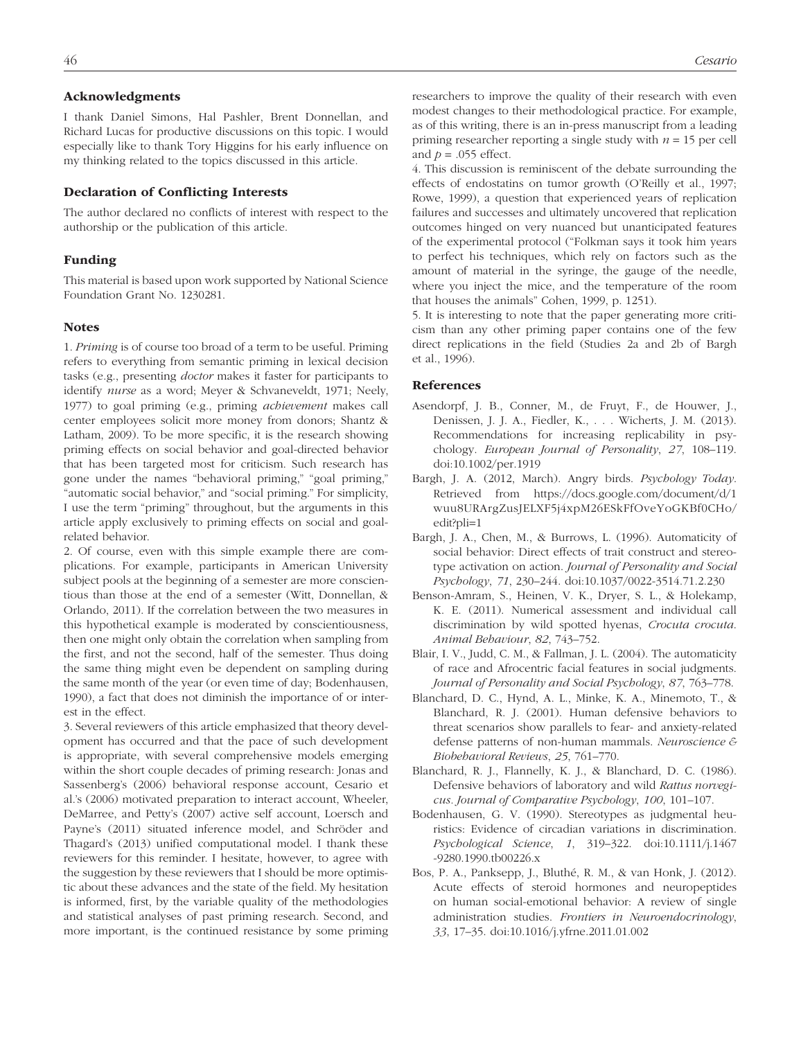#### Acknowledgments

I thank Daniel Simons, Hal Pashler, Brent Donnellan, and Richard Lucas for productive discussions on this topic. I would especially like to thank Tory Higgins for his early influence on my thinking related to the topics discussed in this article.

#### Declaration of Conflicting Interests

The author declared no conflicts of interest with respect to the authorship or the publication of this article.

## Funding

This material is based upon work supported by National Science Foundation Grant No. 1230281.

## **Notes**

1. *Priming* is of course too broad of a term to be useful. Priming refers to everything from semantic priming in lexical decision tasks (e.g., presenting *doctor* makes it faster for participants to identify *nurse* as a word; Meyer & Schvaneveldt, 1971; Neely, 1977) to goal priming (e.g., priming *achievement* makes call center employees solicit more money from donors; Shantz & Latham, 2009). To be more specific, it is the research showing priming effects on social behavior and goal-directed behavior that has been targeted most for criticism. Such research has gone under the names "behavioral priming," "goal priming," "automatic social behavior," and "social priming." For simplicity, I use the term "priming" throughout, but the arguments in this article apply exclusively to priming effects on social and goalrelated behavior.

2. Of course, even with this simple example there are complications. For example, participants in American University subject pools at the beginning of a semester are more conscientious than those at the end of a semester (Witt, Donnellan, & Orlando, 2011). If the correlation between the two measures in this hypothetical example is moderated by conscientiousness, then one might only obtain the correlation when sampling from the first, and not the second, half of the semester. Thus doing the same thing might even be dependent on sampling during the same month of the year (or even time of day; Bodenhausen, 1990), a fact that does not diminish the importance of or interest in the effect.

3. Several reviewers of this article emphasized that theory development has occurred and that the pace of such development is appropriate, with several comprehensive models emerging within the short couple decades of priming research: Jonas and Sassenberg's (2006) behavioral response account, Cesario et al.'s (2006) motivated preparation to interact account, Wheeler, DeMarree, and Petty's (2007) active self account, Loersch and Payne's (2011) situated inference model, and Schröder and Thagard's (2013) unified computational model. I thank these reviewers for this reminder. I hesitate, however, to agree with the suggestion by these reviewers that I should be more optimistic about these advances and the state of the field. My hesitation is informed, first, by the variable quality of the methodologies and statistical analyses of past priming research. Second, and more important, is the continued resistance by some priming researchers to improve the quality of their research with even modest changes to their methodological practice. For example, as of this writing, there is an in-press manuscript from a leading priming researcher reporting a single study with *n* = 15 per cell and  $p = 0.055$  effect.

4. This discussion is reminiscent of the debate surrounding the effects of endostatins on tumor growth (O'Reilly et al., 1997; Rowe, 1999), a question that experienced years of replication failures and successes and ultimately uncovered that replication outcomes hinged on very nuanced but unanticipated features of the experimental protocol ("Folkman says it took him years to perfect his techniques, which rely on factors such as the amount of material in the syringe, the gauge of the needle, where you inject the mice, and the temperature of the room that houses the animals" Cohen, 1999, p. 1251).

5. It is interesting to note that the paper generating more criticism than any other priming paper contains one of the few direct replications in the field (Studies 2a and 2b of Bargh et al., 1996).

#### References

- Asendorpf, J. B., Conner, M., de Fruyt, F., de Houwer, J., Denissen, J. J. A., Fiedler, K., . . . Wicherts, J. M. (2013). Recommendations for increasing replicability in psychology. *European Journal of Personality*, *27*, 108–119. doi:10.1002/per.1919
- Bargh, J. A. (2012, March). Angry birds. *Psychology Today*. [Retrieved from https://docs.google.com/document/d/1](https://docs.google.com/document/d/1wuu8URArgZusJELXF5j4xpM26ESkFfOveYoGKBf0CHo/edit?pli=1) wuu8URArgZusJELXF5j4xpM26ESkFfOveYoGKBf0CHo/ edit?pli=1
- Bargh, J. A., Chen, M., & Burrows, L. (1996). Automaticity of social behavior: Direct effects of trait construct and stereotype activation on action. *Journal of Personality and Social Psychology*, *71*, 230–244. doi:10.1037/0022-3514.71.2.230
- Benson-Amram, S., Heinen, V. K., Dryer, S. L., & Holekamp, K. E. (2011). Numerical assessment and individual call discrimination by wild spotted hyenas, *Crocuta crocuta*. *Animal Behaviour*, *82*, 743–752.
- Blair, I. V., Judd, C. M., & Fallman, J. L. (2004). The automaticity of race and Afrocentric facial features in social judgments. *Journal of Personality and Social Psychology*, *87*, 763–778.
- Blanchard, D. C., Hynd, A. L., Minke, K. A., Minemoto, T., & Blanchard, R. J. (2001). Human defensive behaviors to threat scenarios show parallels to fear- and anxiety-related defense patterns of non-human mammals. *Neuroscience & Biobehavioral Reviews*, *25*, 761–770.
- Blanchard, R. J., Flannelly, K. J., & Blanchard, D. C. (1986). Defensive behaviors of laboratory and wild *Rattus norvegicus. Journal of Comparative Psychology*, *100*, 101–107.
- Bodenhausen, G. V. (1990). Stereotypes as judgmental heuristics: Evidence of circadian variations in discrimination. *Psychological Science*, *1*, 319–322. doi:10.1111/j.1467 -9280.1990.tb00226.x
- Bos, P. A., Panksepp, J., Bluthé, R. M., & van Honk, J. (2012). Acute effects of steroid hormones and neuropeptides on human social-emotional behavior: A review of single administration studies. *Frontiers in Neuroendocrinology*, *33*, 17–35. doi:10.1016/j.yfrne.2011.01.002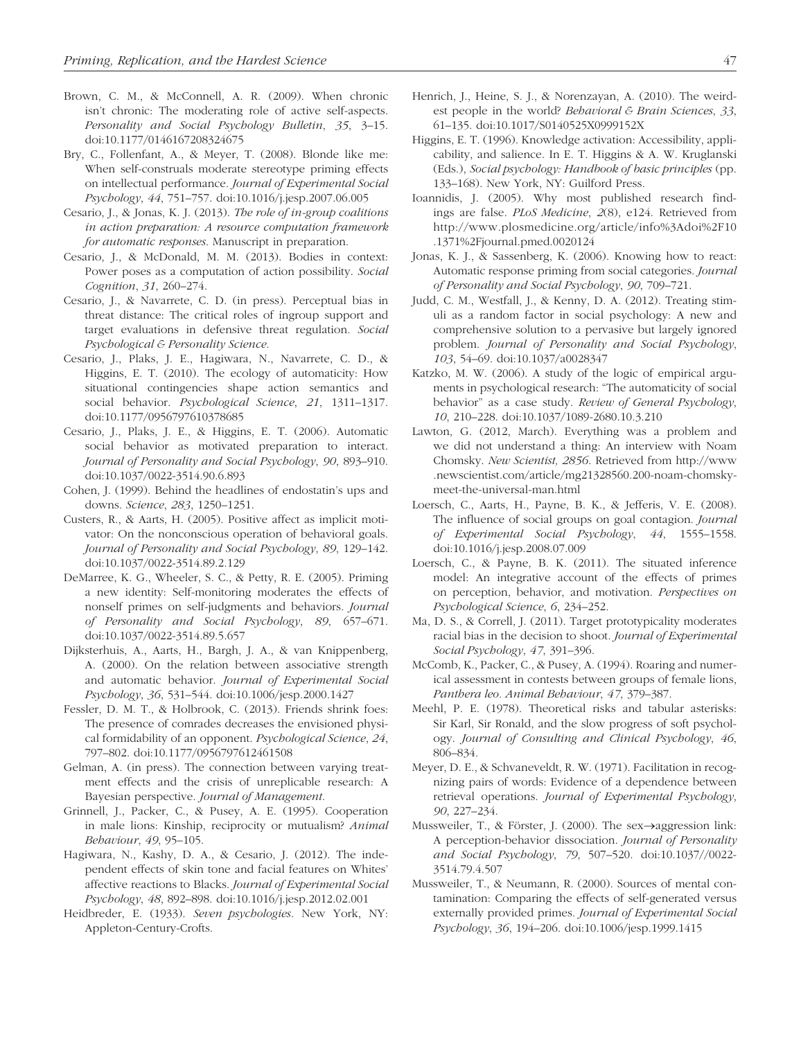- Brown, C. M., & McConnell, A. R. (2009). When chronic isn't chronic: The moderating role of active self-aspects. *Personality and Social Psychology Bulletin*, *35*, 3–15. doi:10.1177/0146167208324675
- Bry, C., Follenfant, A., & Meyer, T. (2008). Blonde like me: When self-construals moderate stereotype priming effects on intellectual performance. *Journal of Experimental Social Psychology*, *44*, 751–757. doi:10.1016/j.jesp.2007.06.005
- Cesario, J., & Jonas, K. J. (2013). *The role of in-group coalitions in action preparation: A resource computation framework for automatic responses*. Manuscript in preparation.
- Cesario, J., & McDonald, M. M. (2013). Bodies in context: Power poses as a computation of action possibility. *Social Cognition*, *31*, 260–274.
- Cesario, J., & Navarrete, C. D. (in press). Perceptual bias in threat distance: The critical roles of ingroup support and target evaluations in defensive threat regulation. *Social Psychological & Personality Science*.
- Cesario, J., Plaks, J. E., Hagiwara, N., Navarrete, C. D., & Higgins, E. T. (2010). The ecology of automaticity: How situational contingencies shape action semantics and social behavior. *Psychological Science*, *21*, 1311–1317. doi:10.1177/0956797610378685
- Cesario, J., Plaks, J. E., & Higgins, E. T. (2006). Automatic social behavior as motivated preparation to interact. *Journal of Personality and Social Psychology*, *90*, 893–910. doi:10.1037/0022-3514.90.6.893
- Cohen, J. (1999). Behind the headlines of endostatin's ups and downs. *Science*, *283*, 1250–1251.
- Custers, R., & Aarts, H. (2005). Positive affect as implicit motivator: On the nonconscious operation of behavioral goals. *Journal of Personality and Social Psychology*, *89*, 129–142. doi:10.1037/0022-3514.89.2.129
- DeMarree, K. G., Wheeler, S. C., & Petty, R. E. (2005). Priming a new identity: Self-monitoring moderates the effects of nonself primes on self-judgments and behaviors. *Journal of Personality and Social Psychology*, *89*, 657–671. doi:10.1037/0022-3514.89.5.657
- Dijksterhuis, A., Aarts, H., Bargh, J. A., & van Knippenberg, A. (2000). On the relation between associative strength and automatic behavior. *Journal of Experimental Social Psychology*, *36*, 531–544. doi:10.1006/jesp.2000.1427
- Fessler, D. M. T., & Holbrook, C. (2013). Friends shrink foes: The presence of comrades decreases the envisioned physical formidability of an opponent. *Psychological Science*, *24*, 797–802. doi:10.1177/0956797612461508
- Gelman, A. (in press). The connection between varying treatment effects and the crisis of unreplicable research: A Bayesian perspective. *Journal of Management*.
- Grinnell, J., Packer, C., & Pusey, A. E. (1995). Cooperation in male lions: Kinship, reciprocity or mutualism? *Animal Behaviour*, *49*, 95–105.
- Hagiwara, N., Kashy, D. A., & Cesario, J. (2012). The independent effects of skin tone and facial features on Whites' affective reactions to Blacks. *Journal of Experimental Social Psychology*, *48*, 892–898. doi:10.1016/j.jesp.2012.02.001
- Heidbreder, E. (1933). *Seven psychologies*. New York, NY: Appleton-Century-Crofts.
- Henrich, J., Heine, S. J., & Norenzayan, A. (2010). The weirdest people in the world? *Behavioral & Brain Sciences*, *33*, 61–135. doi:10.1017/S0140525X0999152X
- Higgins, E. T. (1996). Knowledge activation: Accessibility, applicability, and salience. In E. T. Higgins & A. W. Kruglanski (Eds.), *Social psychology: Handbook of basic principles* (pp. 133–168). New York, NY: Guilford Press.
- Ioannidis, J. (2005). Why most published research findings are false. *PLoS Medicine*, *2*(8), e124. Retrieved from [http://www.plosmedicine.org/article/info%3Adoi%2F10](http://www.plosmedicine.org/article/info%3Adoi%2F10.1371%2Fjournal.pmed.0020124) .1371%2Fjournal.pmed.0020124
- Jonas, K. J., & Sassenberg, K. (2006). Knowing how to react: Automatic response priming from social categories. *Journal of Personality and Social Psychology*, *90*, 709–721.
- Judd, C. M., Westfall, J., & Kenny, D. A. (2012). Treating stimuli as a random factor in social psychology: A new and comprehensive solution to a pervasive but largely ignored problem. *Journal of Personality and Social Psychology*, *103*, 54–69. doi:10.1037/a0028347
- Katzko, M. W. (2006). A study of the logic of empirical arguments in psychological research: "The automaticity of social behavior" as a case study. *Review of General Psychology*, *10*, 210–228. doi:10.1037/1089-2680.10.3.210
- Lawton, G. (2012, March). Everything was a problem and we did not understand a thing: An interview with Noam Chomsky. *New Scientist, 2856*. Retrieved from http://www [.newscientist.com/article/mg21328560.200-noam-chomsky](http://www.newscientist.com/article/mg21328560.200-noam-chomskymeet-the-universal-man.html)meet-the-universal-man.html
- Loersch, C., Aarts, H., Payne, B. K., & Jefferis, V. E. (2008). The influence of social groups on goal contagion. *Journal of Experimental Social Psychology*, *44*, 1555–1558. doi:10.1016/j.jesp.2008.07.009
- Loersch, C., & Payne, B. K. (2011). The situated inference model: An integrative account of the effects of primes on perception, behavior, and motivation. *Perspectives on Psychological Science*, *6*, 234–252.
- Ma, D. S., & Correll, J. (2011). Target prototypicality moderates racial bias in the decision to shoot. *Journal of Experimental Social Psychology*, *47*, 391–396.
- McComb, K., Packer, C., & Pusey, A. (1994). Roaring and numerical assessment in contests between groups of female lions, *Panthera leo. Animal Behaviour*, *47*, 379–387.
- Meehl, P. E. (1978). Theoretical risks and tabular asterisks: Sir Karl, Sir Ronald, and the slow progress of soft psychology. *Journal of Consulting and Clinical Psychology*, *46*, 806–834.
- Meyer, D. E., & Schvaneveldt, R. W. (1971). Facilitation in recognizing pairs of words: Evidence of a dependence between retrieval operations. *Journal of Experimental Psychology*, *90*, 227–234.
- Mussweiler, T., & Förster, J. (2000). The sex→aggression link: A perception-behavior dissociation. *Journal of Personality and Social Psychology*, *79*, 507–520. doi:10.1037//0022- 3514.79.4.507
- Mussweiler, T., & Neumann, R. (2000). Sources of mental contamination: Comparing the effects of self-generated versus externally provided primes. *Journal of Experimental Social Psychology*, *36*, 194–206. doi:10.1006/jesp.1999.1415